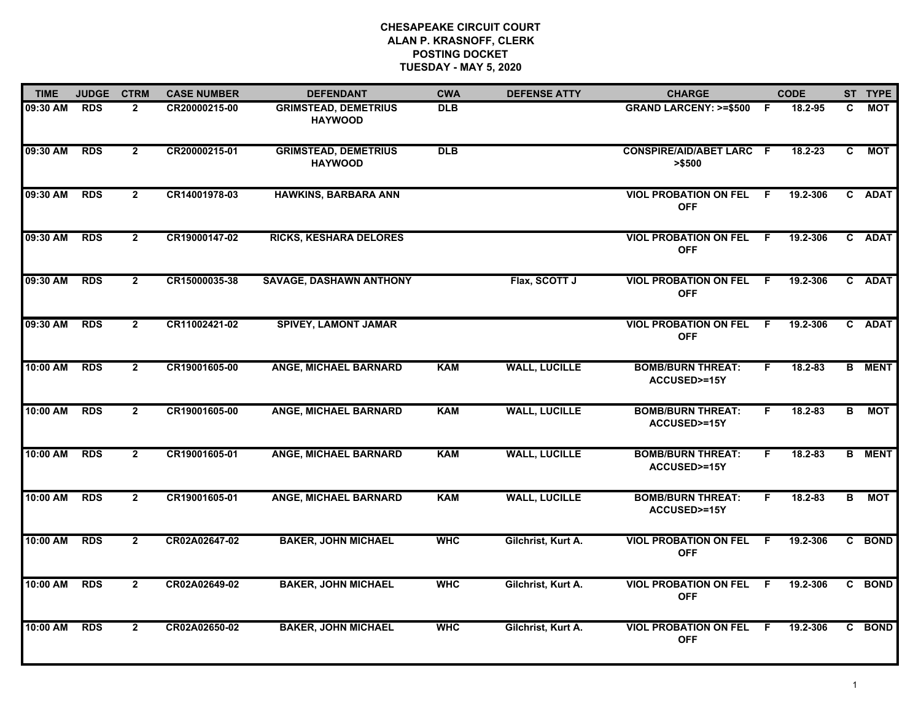## **CHESAPEAKE CIRCUIT COURT ALAN P. KRASNOFF, CLERK POSTING DOCKETTUESDAY - MAY 5, 2020**

| <b>TIME</b> | <b>JUDGE</b> | <b>CTRM</b>    | <b>CASE NUMBER</b> | <b>DEFENDANT</b>                              | <b>CWA</b>       | <b>DEFENSE ATTY</b>  | <b>CHARGE</b>                                      |     | <b>CODE</b> |                | ST TYPE       |
|-------------|--------------|----------------|--------------------|-----------------------------------------------|------------------|----------------------|----------------------------------------------------|-----|-------------|----------------|---------------|
| 09:30 AM    | <b>RDS</b>   | $\mathbf{2}$   | CR20000215-00      | <b>GRIMSTEAD, DEMETRIUS</b><br><b>HAYWOOD</b> | $\overline{DLB}$ |                      | <b>GRAND LARCENY: &gt;=\$500</b>                   | -F  | 18.2-95     | C.             | <b>MOT</b>    |
| 09:30 AM    | <b>RDS</b>   | $\mathbf{2}$   | CR20000215-01      | <b>GRIMSTEAD, DEMETRIUS</b><br><b>HAYWOOD</b> | DLB              |                      | <b>CONSPIRE/AID/ABET LARC F</b><br>> \$500         |     | $18.2 - 23$ | $\overline{c}$ | <b>MOT</b>    |
| 09:30 AM    | <b>RDS</b>   | $\mathbf{2}$   | CR14001978-03      | <b>HAWKINS, BARBARA ANN</b>                   |                  |                      | <b>VIOL PROBATION ON FEL F</b><br><b>OFF</b>       |     | 19.2-306    |                | C ADAT        |
| 09:30 AM    | <b>RDS</b>   | $\mathbf{2}$   | CR19000147-02      | <b>RICKS, KESHARA DELORES</b>                 |                  |                      | <b>VIOL PROBATION ON FEL</b><br><b>OFF</b>         | - F | 19.2-306    |                | C ADAT        |
| 09:30 AM    | <b>RDS</b>   | $\mathbf{2}$   | CR15000035-38      | <b>SAVAGE, DASHAWN ANTHONY</b>                |                  | Flax, SCOTT J        | <b>VIOL PROBATION ON FEL F</b><br><b>OFF</b>       |     | 19.2-306    |                | C ADAT        |
| 09:30 AM    | <b>RDS</b>   | $\overline{2}$ | CR11002421-02      | <b>SPIVEY, LAMONT JAMAR</b>                   |                  |                      | <b>VIOL PROBATION ON FEL F</b><br><b>OFF</b>       |     | 19.2-306    |                | C ADAT        |
| 10:00 AM    | <b>RDS</b>   | $\overline{2}$ | CR19001605-00      | <b>ANGE, MICHAEL BARNARD</b>                  | <b>KAM</b>       | <b>WALL, LUCILLE</b> | <b>BOMB/BURN THREAT:</b><br><b>ACCUSED&gt;=15Y</b> | F.  | 18.2-83     |                | <b>B</b> MENT |
| 10:00 AM    | <b>RDS</b>   | $\mathbf{2}$   | CR19001605-00      | <b>ANGE, MICHAEL BARNARD</b>                  | <b>KAM</b>       | <b>WALL, LUCILLE</b> | <b>BOMB/BURN THREAT:</b><br><b>ACCUSED&gt;=15Y</b> | F.  | 18.2-83     | B              | <b>MOT</b>    |
| 10:00 AM    | <b>RDS</b>   | $\overline{2}$ | CR19001605-01      | <b>ANGE, MICHAEL BARNARD</b>                  | <b>KAM</b>       | <b>WALL, LUCILLE</b> | <b>BOMB/BURN THREAT:</b><br>ACCUSED>=15Y           | F.  | 18.2-83     |                | <b>B</b> MENT |
| 10:00 AM    | <b>RDS</b>   | $\overline{2}$ | CR19001605-01      | ANGE, MICHAEL BARNARD                         | <b>KAM</b>       | <b>WALL, LUCILLE</b> | <b>BOMB/BURN THREAT:</b><br>ACCUSED>=15Y           | F.  | $18.2 - 83$ | B              | <b>MOT</b>    |
| 10:00 AM    | <b>RDS</b>   | $\overline{2}$ | CR02A02647-02      | <b>BAKER, JOHN MICHAEL</b>                    | <b>WHC</b>       | Gilchrist, Kurt A.   | <b>VIOL PROBATION ON FEL F</b><br><b>OFF</b>       |     | 19.2-306    |                | C BOND        |
| 10:00 AM    | <b>RDS</b>   | $\overline{2}$ | CR02A02649-02      | <b>BAKER, JOHN MICHAEL</b>                    | <b>WHC</b>       | Gilchrist, Kurt A.   | <b>VIOL PROBATION ON FEL</b><br><b>OFF</b>         | - F | 19.2-306    |                | C BOND        |
| 10:00 AM    | <b>RDS</b>   | $\overline{2}$ | CR02A02650-02      | <b>BAKER, JOHN MICHAEL</b>                    | <b>WHC</b>       | Gilchrist, Kurt A.   | <b>VIOL PROBATION ON FEL</b><br><b>OFF</b>         | -F. | 19.2-306    |                | C BOND        |